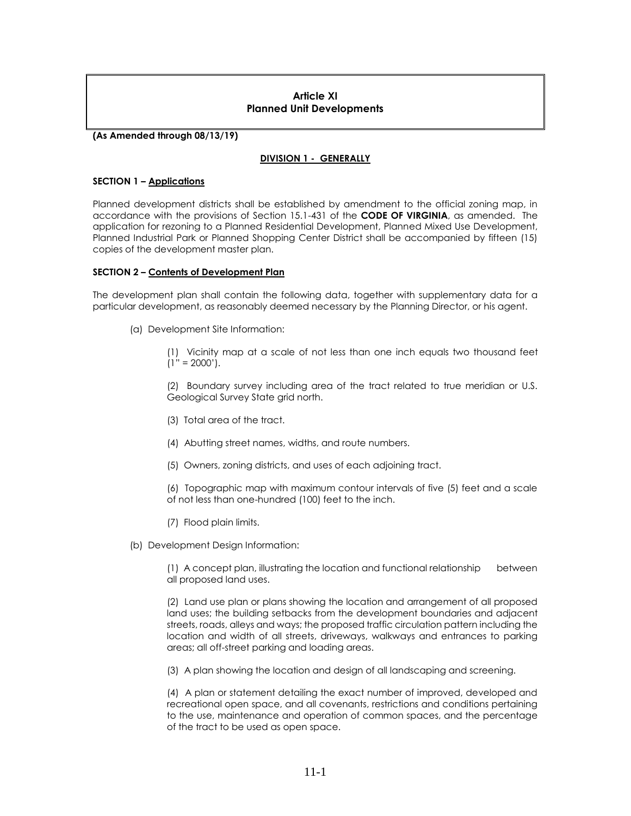## **Article XI Planned Unit Developments**

**(As Amended through 08/13/19)**

## **DIVISION 1 - GENERALLY**

### **SECTION 1 – Applications**

Planned development districts shall be established by amendment to the official zoning map, in accordance with the provisions of Section 15.1-431 of the **CODE OF VIRGINIA**, as amended. The application for rezoning to a Planned Residential Development, Planned Mixed Use Development, Planned Industrial Park or Planned Shopping Center District shall be accompanied by fifteen (15) copies of the development master plan.

### **SECTION 2 – Contents of Development Plan**

The development plan shall contain the following data, together with supplementary data for a particular development, as reasonably deemed necessary by the Planning Director, or his agent.

(a) Development Site Information:

(1) Vicinity map at a scale of not less than one inch equals two thousand feet  $(1" = 2000')$ .

(2) Boundary survey including area of the tract related to true meridian or U.S. Geological Survey State grid north.

- (3) Total area of the tract.
- (4) Abutting street names, widths, and route numbers.
- (5) Owners, zoning districts, and uses of each adjoining tract.

(6) Topographic map with maximum contour intervals of five (5) feet and a scale of not less than one-hundred (100) feet to the inch.

- (7) Flood plain limits.
- (b) Development Design Information:

(1) A concept plan, illustrating the location and functional relationship between all proposed land uses.

(2) Land use plan or plans showing the location and arrangement of all proposed land uses; the building setbacks from the development boundaries and adjacent streets, roads, alleys and ways; the proposed traffic circulation pattern including the location and width of all streets, driveways, walkways and entrances to parking areas; all off-street parking and loading areas.

(3) A plan showing the location and design of all landscaping and screening.

(4) A plan or statement detailing the exact number of improved, developed and recreational open space, and all covenants, restrictions and conditions pertaining to the use, maintenance and operation of common spaces, and the percentage of the tract to be used as open space.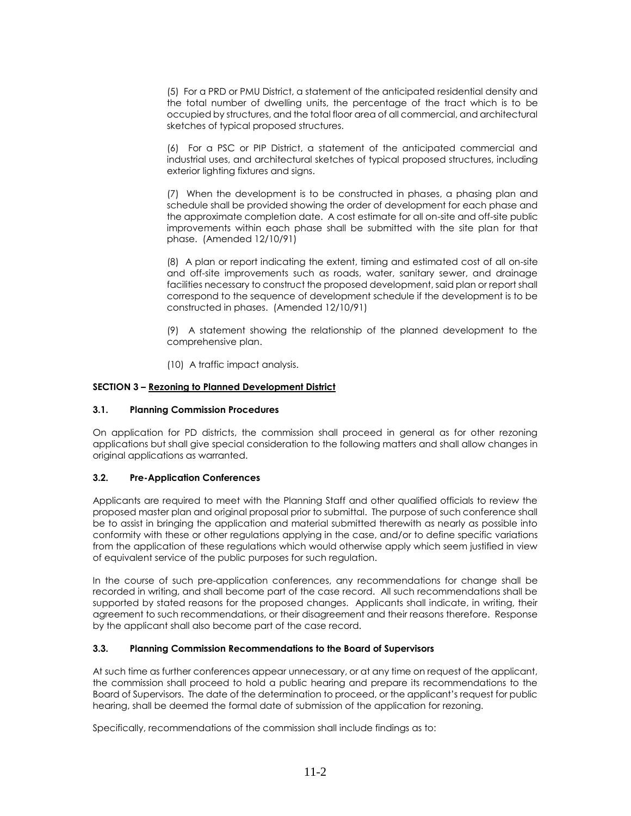(5) For a PRD or PMU District, a statement of the anticipated residential density and the total number of dwelling units, the percentage of the tract which is to be occupied by structures, and the total floor area of all commercial, and architectural sketches of typical proposed structures.

(6) For a PSC or PIP District, a statement of the anticipated commercial and industrial uses, and architectural sketches of typical proposed structures, including exterior lighting fixtures and signs.

(7) When the development is to be constructed in phases, a phasing plan and schedule shall be provided showing the order of development for each phase and the approximate completion date. A cost estimate for all on-site and off-site public improvements within each phase shall be submitted with the site plan for that phase. (Amended 12/10/91)

(8) A plan or report indicating the extent, timing and estimated cost of all on-site and off-site improvements such as roads, water, sanitary sewer, and drainage facilities necessary to construct the proposed development, said plan or report shall correspond to the sequence of development schedule if the development is to be constructed in phases. (Amended 12/10/91)

(9) A statement showing the relationship of the planned development to the comprehensive plan.

(10) A traffic impact analysis.

## **SECTION 3 – Rezoning to Planned Development District**

## **3.1. Planning Commission Procedures**

On application for PD districts, the commission shall proceed in general as for other rezoning applications but shall give special consideration to the following matters and shall allow changes in original applications as warranted.

## **3.2. Pre-Application Conferences**

Applicants are required to meet with the Planning Staff and other qualified officials to review the proposed master plan and original proposal prior to submittal. The purpose of such conference shall be to assist in bringing the application and material submitted therewith as nearly as possible into conformity with these or other regulations applying in the case, and/or to define specific variations from the application of these regulations which would otherwise apply which seem justified in view of equivalent service of the public purposes for such regulation.

In the course of such pre-application conferences, any recommendations for change shall be recorded in writing, and shall become part of the case record. All such recommendations shall be supported by stated reasons for the proposed changes. Applicants shall indicate, in writing, their agreement to such recommendations, or their disagreement and their reasons therefore. Response by the applicant shall also become part of the case record.

## **3.3. Planning Commission Recommendations to the Board of Supervisors**

At such time as further conferences appear unnecessary, or at any time on request of the applicant, the commission shall proceed to hold a public hearing and prepare its recommendations to the Board of Supervisors. The date of the determination to proceed, or the applicant's request for public hearing, shall be deemed the formal date of submission of the application for rezoning.

Specifically, recommendations of the commission shall include findings as to: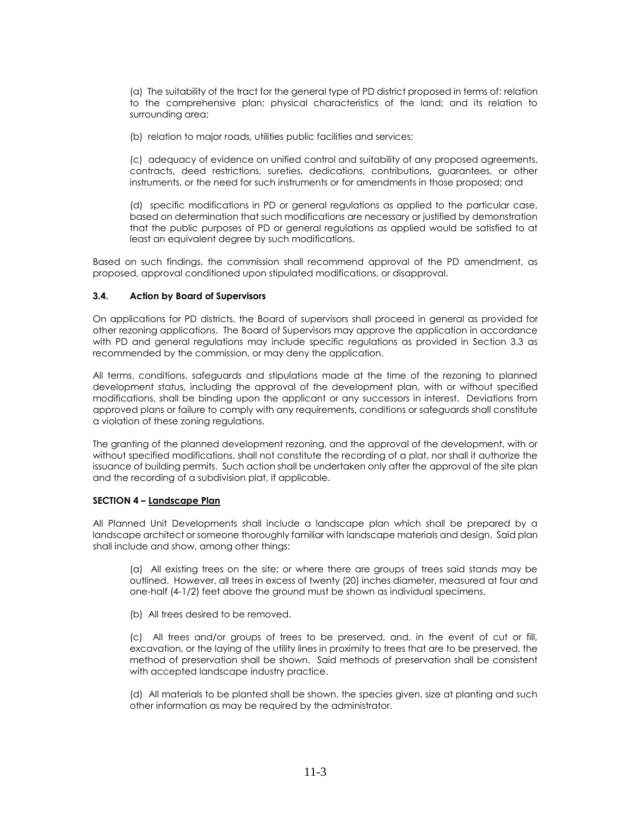(a) The suitability of the tract for the general type of PD district proposed in terms of: relation to the comprehensive plan; physical characteristics of the land; and its relation to surrounding area;

(b) relation to major roads, utilities public facilities and services;

(c) adequacy of evidence on unified control and suitability of any proposed agreements, contracts, deed restrictions, sureties, dedications, contributions, guarantees, or other instruments, or the need for such instruments or for amendments in those proposed; and

(d) specific modifications in PD or general regulations as applied to the particular case, based on determination that such modifications are necessary or justified by demonstration that the public purposes of PD or general regulations as applied would be satisfied to at least an equivalent degree by such modifications.

Based on such findings, the commission shall recommend approval of the PD amendment, as proposed, approval conditioned upon stipulated modifications, or disapproval.

## **3.4. Action by Board of Supervisors**

On applications for PD districts, the Board of supervisors shall proceed in general as provided for other rezoning applications. The Board of Supervisors may approve the application in accordance with PD and general regulations may include specific regulations as provided in Section 3.3 as recommended by the commission, or may deny the application.

All terms, conditions, safeguards and stipulations made at the time of the rezoning to planned development status, including the approval of the development plan, with or without specified modifications, shall be binding upon the applicant or any successors in interest. Deviations from approved plans or failure to comply with any requirements, conditions or safeguards shall constitute a violation of these zoning regulations.

The granting of the planned development rezoning, and the approval of the development, with or without specified modifications, shall not constitute the recording of a plat, nor shall it authorize the issuance of building permits. Such action shall be undertaken only after the approval of the site plan and the recording of a subdivision plat, if applicable.

## **SECTION 4 – Landscape Plan**

All Planned Unit Developments shall include a landscape plan which shall be prepared by a landscape architect or someone thoroughly familiar with landscape materials and design. Said plan shall include and show, among other things:

(a) All existing trees on the site; or where there are groups of trees said stands may be outlined. However, all trees in excess of twenty (20) inches diameter, measured at four and one-half (4-1/2) feet above the ground must be shown as individual specimens.

(b) All trees desired to be removed.

(c) All trees and/or groups of trees to be preserved, and, in the event of cut or fill, excavation, or the laying of the utility lines in proximity to trees that are to be preserved, the method of preservation shall be shown. Said methods of preservation shall be consistent with accepted landscape industry practice.

(d) All materials to be planted shall be shown, the species given, size at planting and such other information as may be required by the administrator.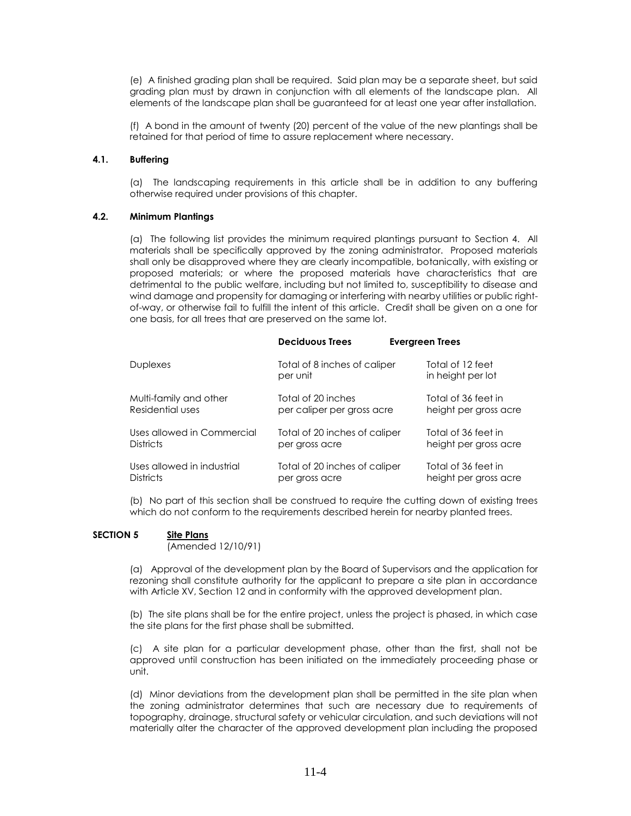(e) A finished grading plan shall be required. Said plan may be a separate sheet, but said grading plan must by drawn in conjunction with all elements of the landscape plan. All elements of the landscape plan shall be guaranteed for at least one year after installation.

(f) A bond in the amount of twenty (20) percent of the value of the new plantings shall be retained for that period of time to assure replacement where necessary.

### **4.1. Buffering**

(a) The landscaping requirements in this article shall be in addition to any buffering otherwise required under provisions of this chapter.

#### **4.2. Minimum Plantings**

(a) The following list provides the minimum required plantings pursuant to Section 4. All materials shall be specifically approved by the zoning administrator. Proposed materials shall only be disapproved where they are clearly incompatible, botanically, with existing or proposed materials; or where the proposed materials have characteristics that are detrimental to the public welfare, including but not limited to, susceptibility to disease and wind damage and propensity for damaging or interfering with nearby utilities or public rightof-way, or otherwise fail to fulfill the intent of this article. Credit shall be given on a one for one basis, for all trees that are preserved on the same lot.

|                            | <b>Deciduous Trees</b>                   | <b>Evergreen Trees</b> |                                       |
|----------------------------|------------------------------------------|------------------------|---------------------------------------|
| <b>Duplexes</b>            | Total of 8 inches of caliper<br>per unit |                        | Total of 12 feet<br>in height per lot |
| Multi-family and other     | Total of 20 inches                       |                        | Total of 36 feet in                   |
| Residential uses           | per caliper per gross acre               |                        | height per gross acre                 |
| Uses allowed in Commercial | Total of 20 inches of caliper            |                        | Total of 36 feet in                   |
| <b>Districts</b>           | per gross acre                           |                        | height per gross acre                 |
| Uses allowed in industrial | Total of 20 inches of caliper            |                        | Total of 36 feet in                   |
| <b>Districts</b>           | per gross acre                           |                        | height per gross acre                 |

(b) No part of this section shall be construed to require the cutting down of existing trees which do not conform to the requirements described herein for nearby planted trees.

#### **SECTION 5 Site Plans**

(Amended 12/10/91)

(a) Approval of the development plan by the Board of Supervisors and the application for rezoning shall constitute authority for the applicant to prepare a site plan in accordance with Article XV, Section 12 and in conformity with the approved development plan.

(b) The site plans shall be for the entire project, unless the project is phased, in which case the site plans for the first phase shall be submitted.

(c) A site plan for a particular development phase, other than the first, shall not be approved until construction has been initiated on the immediately proceeding phase or unit.

(d) Minor deviations from the development plan shall be permitted in the site plan when the zoning administrator determines that such are necessary due to requirements of topography, drainage, structural safety or vehicular circulation, and such deviations will not materially alter the character of the approved development plan including the proposed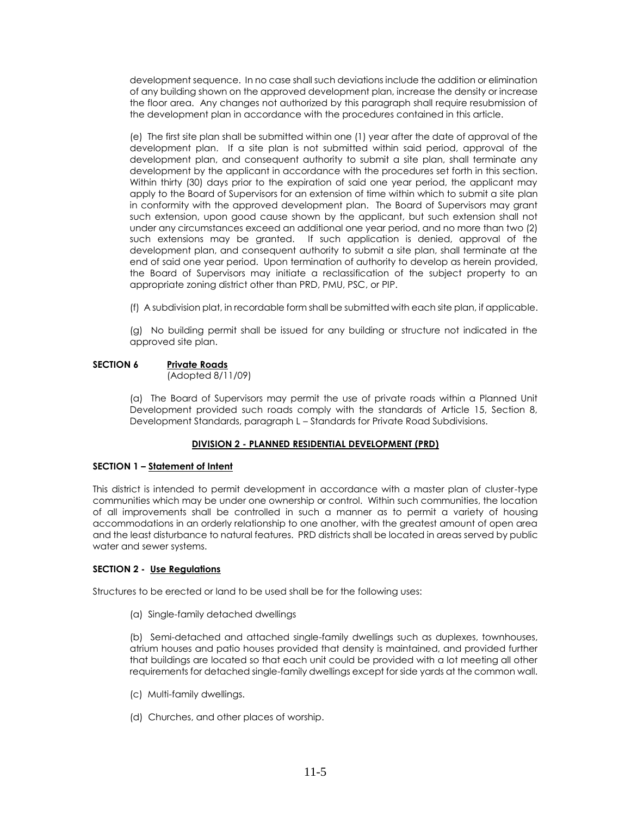development sequence. In no case shall such deviations include the addition or elimination of any building shown on the approved development plan, increase the density or increase the floor area. Any changes not authorized by this paragraph shall require resubmission of the development plan in accordance with the procedures contained in this article.

(e) The first site plan shall be submitted within one (1) year after the date of approval of the development plan. If a site plan is not submitted within said period, approval of the development plan, and consequent authority to submit a site plan, shall terminate any development by the applicant in accordance with the procedures set forth in this section. Within thirty (30) days prior to the expiration of said one year period, the applicant may apply to the Board of Supervisors for an extension of time within which to submit a site plan in conformity with the approved development plan. The Board of Supervisors may grant such extension, upon good cause shown by the applicant, but such extension shall not under any circumstances exceed an additional one year period, and no more than two (2) such extensions may be granted. If such application is denied, approval of the development plan, and consequent authority to submit a site plan, shall terminate at the end of said one year period. Upon termination of authority to develop as herein provided, the Board of Supervisors may initiate a reclassification of the subject property to an appropriate zoning district other than PRD, PMU, PSC, or PIP.

(f) A subdivision plat, in recordable form shall be submitted with each site plan, if applicable.

(g) No building permit shall be issued for any building or structure not indicated in the approved site plan.

## **SECTION 6 Private Roads**

(Adopted 8/11/09)

(a) The Board of Supervisors may permit the use of private roads within a Planned Unit Development provided such roads comply with the standards of Article 15, Section 8, Development Standards, paragraph L – Standards for Private Road Subdivisions.

## **DIVISION 2 - PLANNED RESIDENTIAL DEVELOPMENT (PRD)**

## **SECTION 1 – Statement of Intent**

This district is intended to permit development in accordance with a master plan of cluster-type communities which may be under one ownership or control. Within such communities, the location of all improvements shall be controlled in such a manner as to permit a variety of housing accommodations in an orderly relationship to one another, with the greatest amount of open area and the least disturbance to natural features. PRD districts shall be located in areas served by public water and sewer systems.

## **SECTION 2 - Use Regulations**

Structures to be erected or land to be used shall be for the following uses:

(a) Single-family detached dwellings

(b) Semi-detached and attached single-family dwellings such as duplexes, townhouses, atrium houses and patio houses provided that density is maintained, and provided further that buildings are located so that each unit could be provided with a lot meeting all other requirements for detached single-family dwellings except for side yards at the common wall.

- (c) Multi-family dwellings.
- (d) Churches, and other places of worship.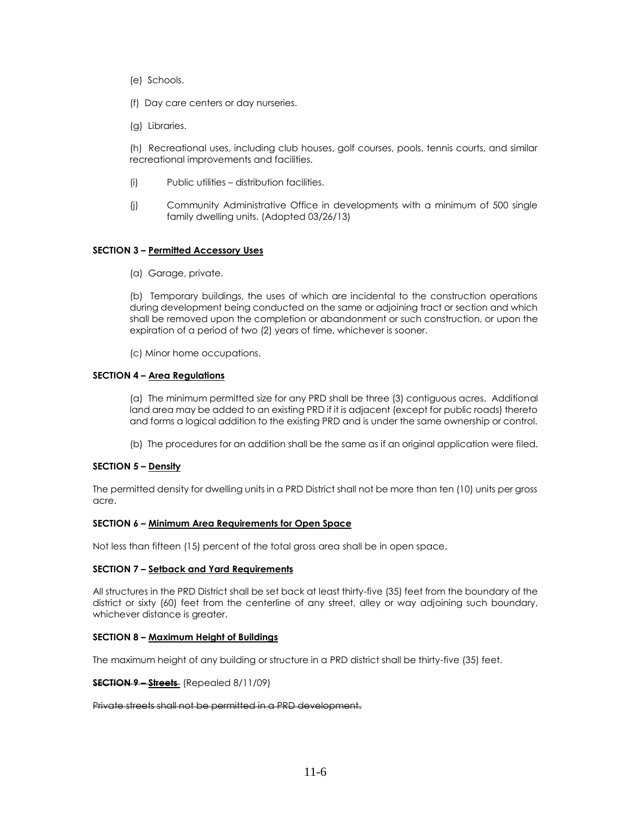- (e) Schools.
- (f) Day care centers or day nurseries.
- (g) Libraries.

(h) Recreational uses, including club houses, golf courses, pools, tennis courts, and similar recreational improvements and facilities.

- (i) Public utilities distribution facilities.
- (j) Community Administrative Office in developments with a minimum of 500 single family dwelling units. (Adopted 03/26/13)

### **SECTION 3 – Permitted Accessory Uses**

(a) Garage, private.

(b) Temporary buildings, the uses of which are incidental to the construction operations during development being conducted on the same or adjoining tract or section and which shall be removed upon the completion or abandonment or such construction, or upon the expiration of a period of two (2) years of time, whichever is sooner.

(c) Minor home occupations.

### **SECTION 4 – Area Regulations**

(a) The minimum permitted size for any PRD shall be three (3) contiguous acres. Additional land area may be added to an existing PRD if it is adjacent (except for public roads) thereto and forms a logical addition to the existing PRD and is under the same ownership or control.

(b) The procedures for an addition shall be the same as if an original application were filed.

## **SECTION 5 – Density**

The permitted density for dwelling units in a PRD District shall not be more than ten (10) units per gross acre.

#### **SECTION 6 – Minimum Area Requirements for Open Space**

Not less than fifteen (15) percent of the total gross area shall be in open space.

#### **SECTION 7 – Setback and Yard Requirements**

All structures in the PRD District shall be set back at least thirty-five (35) feet from the boundary of the district or sixty (60) feet from the centerline of any street, alley or way adjoining such boundary, whichever distance is greater.

#### **SECTION 8 – Maximum Height of Buildings**

The maximum height of any building or structure in a PRD district shall be thirty-five (35) feet.

**SECTION 9 – Streets** (Repealed 8/11/09)

Private streets shall not be permitted in a PRD development.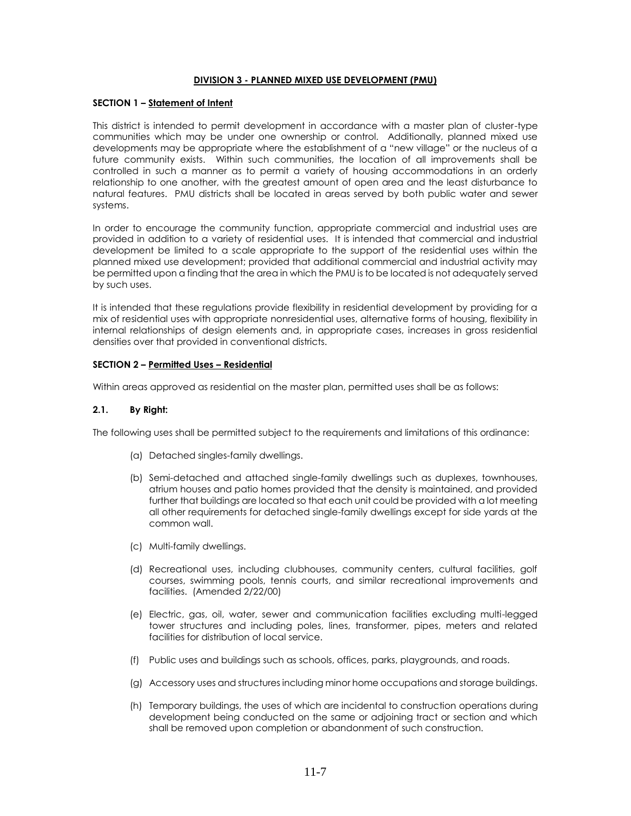#### **DIVISION 3 - PLANNED MIXED USE DEVELOPMENT (PMU)**

### **SECTION 1 – Statement of Intent**

This district is intended to permit development in accordance with a master plan of cluster-type communities which may be under one ownership or control. Additionally, planned mixed use developments may be appropriate where the establishment of a "new village" or the nucleus of a future community exists. Within such communities, the location of all improvements shall be controlled in such a manner as to permit a variety of housing accommodations in an orderly relationship to one another, with the greatest amount of open area and the least disturbance to natural features. PMU districts shall be located in areas served by both public water and sewer systems.

In order to encourage the community function, appropriate commercial and industrial uses are provided in addition to a variety of residential uses. It is intended that commercial and industrial development be limited to a scale appropriate to the support of the residential uses within the planned mixed use development; provided that additional commercial and industrial activity may be permitted upon a finding that the area in which the PMU is to be located is not adequately served by such uses.

It is intended that these regulations provide flexibility in residential development by providing for a mix of residential uses with appropriate nonresidential uses, alternative forms of housing, flexibility in internal relationships of design elements and, in appropriate cases, increases in gross residential densities over that provided in conventional districts.

### **SECTION 2 – Permitted Uses – Residential**

Within areas approved as residential on the master plan, permitted uses shall be as follows:

### **2.1. By Right:**

The following uses shall be permitted subject to the requirements and limitations of this ordinance:

- (a) Detached singles-family dwellings.
- (b) Semi-detached and attached single-family dwellings such as duplexes, townhouses, atrium houses and patio homes provided that the density is maintained, and provided further that buildings are located so that each unit could be provided with a lot meeting all other requirements for detached single-family dwellings except for side yards at the common wall.
- (c) Multi-family dwellings.
- (d) Recreational uses, including clubhouses, community centers, cultural facilities, golf courses, swimming pools, tennis courts, and similar recreational improvements and facilities. (Amended 2/22/00)
- (e) Electric, gas, oil, water, sewer and communication facilities excluding multi-legged tower structures and including poles, lines, transformer, pipes, meters and related facilities for distribution of local service.
- (f) Public uses and buildings such as schools, offices, parks, playgrounds, and roads.
- (g) Accessory uses and structures including minor home occupations and storage buildings.
- (h) Temporary buildings, the uses of which are incidental to construction operations during development being conducted on the same or adjoining tract or section and which shall be removed upon completion or abandonment of such construction.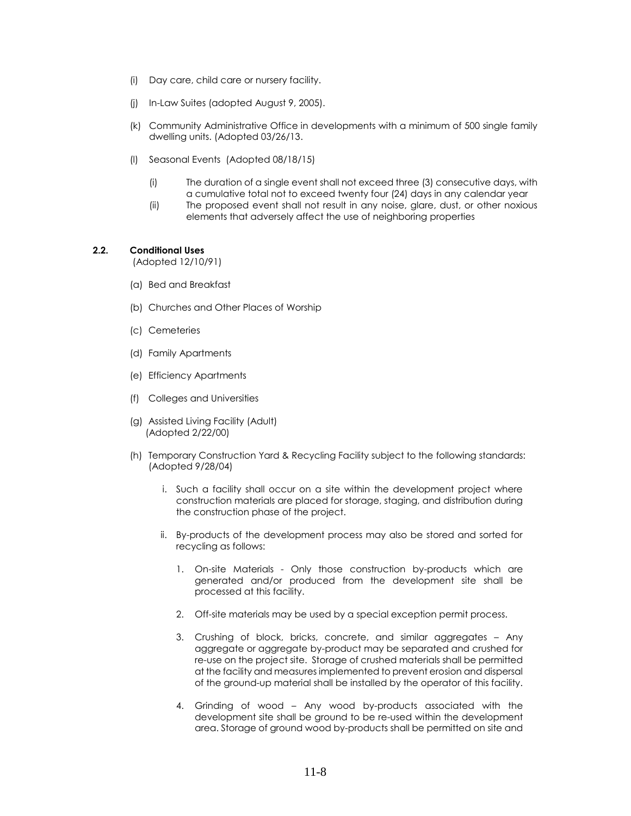- (i) Day care, child care or nursery facility.
- (j) In-Law Suites (adopted August 9, 2005).
- (k) Community Administrative Office in developments with a minimum of 500 single family dwelling units. (Adopted 03/26/13.
- (l) Seasonal Events (Adopted 08/18/15)
	- (i) The duration of a single event shall not exceed three (3) consecutive days, with a cumulative total not to exceed twenty four (24) days in any calendar year
	- (ii) The proposed event shall not result in any noise, glare, dust, or other noxious elements that adversely affect the use of neighboring properties

### **2.2. Conditional Uses**

(Adopted 12/10/91)

- (a) Bed and Breakfast
- (b) Churches and Other Places of Worship
- (c) Cemeteries
- (d) Family Apartments
- (e) Efficiency Apartments
- (f) Colleges and Universities
- (g) Assisted Living Facility (Adult) (Adopted 2/22/00)
- (h) Temporary Construction Yard & Recycling Facility subject to the following standards: (Adopted 9/28/04)
	- i. Such a facility shall occur on a site within the development project where construction materials are placed for storage, staging, and distribution during the construction phase of the project.
	- ii. By-products of the development process may also be stored and sorted for recycling as follows:
		- 1. On-site Materials Only those construction by-products which are generated and/or produced from the development site shall be processed at this facility.
		- 2. Off-site materials may be used by a special exception permit process.
		- 3. Crushing of block, bricks, concrete, and similar aggregates Any aggregate or aggregate by-product may be separated and crushed for re-use on the project site. Storage of crushed materials shall be permitted at the facility and measures implemented to prevent erosion and dispersal of the ground-up material shall be installed by the operator of this facility.
		- 4. Grinding of wood Any wood by-products associated with the development site shall be ground to be re-used within the development area. Storage of ground wood by-products shall be permitted on site and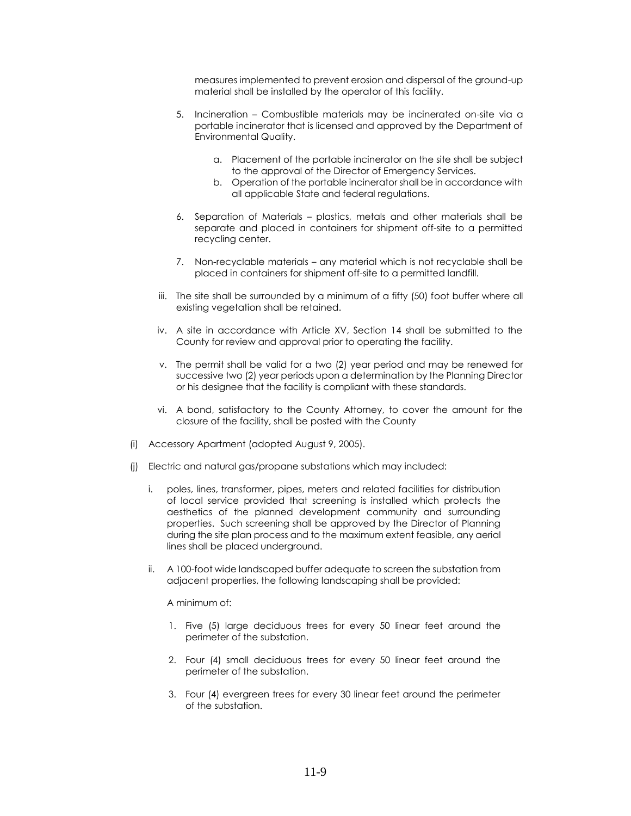measures implemented to prevent erosion and dispersal of the ground-up material shall be installed by the operator of this facility.

- 5. Incineration Combustible materials may be incinerated on-site via a portable incinerator that is licensed and approved by the Department of Environmental Quality.
	- a. Placement of the portable incinerator on the site shall be subject to the approval of the Director of Emergency Services.
	- b. Operation of the portable incinerator shall be in accordance with all applicable State and federal regulations.
- 6. Separation of Materials plastics, metals and other materials shall be separate and placed in containers for shipment off-site to a permitted recycling center.
- 7. Non-recyclable materials any material which is not recyclable shall be placed in containers for shipment off-site to a permitted landfill.
- iii. The site shall be surrounded by a minimum of a fifty (50) foot buffer where all existing vegetation shall be retained.
- iv. A site in accordance with Article XV, Section 14 shall be submitted to the County for review and approval prior to operating the facility.
- v. The permit shall be valid for a two (2) year period and may be renewed for successive two (2) year periods upon a determination by the Planning Director or his designee that the facility is compliant with these standards.
- vi. A bond, satisfactory to the County Attorney, to cover the amount for the closure of the facility, shall be posted with the County
- (i) Accessory Apartment (adopted August 9, 2005).
- (j) Electric and natural gas/propane substations which may included:
	- i. poles, lines, transformer, pipes, meters and related facilities for distribution of local service provided that screening is installed which protects the aesthetics of the planned development community and surrounding properties. Such screening shall be approved by the Director of Planning during the site plan process and to the maximum extent feasible, any aerial lines shall be placed underground.
	- ii. A 100-foot wide landscaped buffer adequate to screen the substation from adjacent properties, the following landscaping shall be provided:

#### A minimum of:

- 1. Five (5) large deciduous trees for every 50 linear feet around the perimeter of the substation.
- 2. Four (4) small deciduous trees for every 50 linear feet around the perimeter of the substation.
- 3. Four (4) evergreen trees for every 30 linear feet around the perimeter of the substation.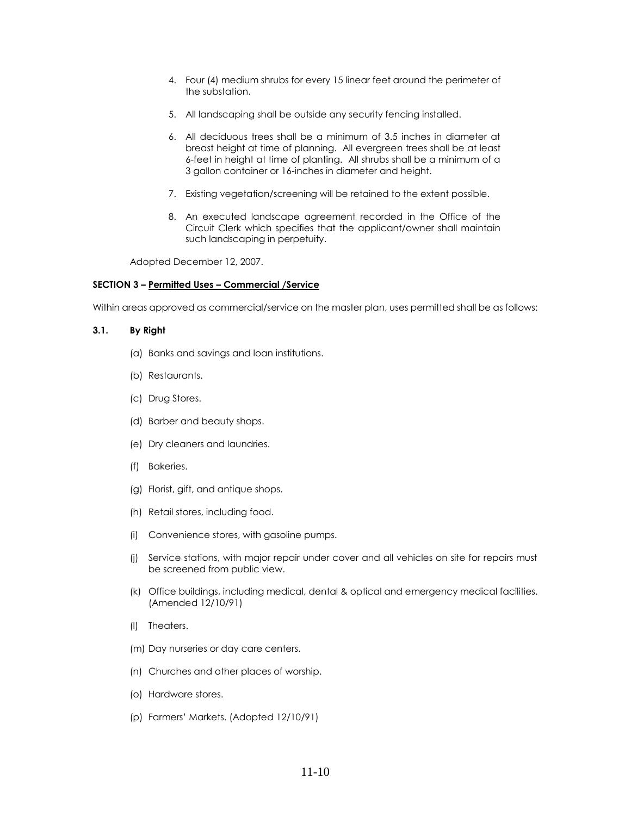- 4. Four (4) medium shrubs for every 15 linear feet around the perimeter of the substation.
- 5. All landscaping shall be outside any security fencing installed.
- 6. All deciduous trees shall be a minimum of 3.5 inches in diameter at breast height at time of planning. All evergreen trees shall be at least 6-feet in height at time of planting. All shrubs shall be a minimum of a 3 gallon container or 16-inches in diameter and height.
- 7. Existing vegetation/screening will be retained to the extent possible.
- 8. An executed landscape agreement recorded in the Office of the Circuit Clerk which specifies that the applicant/owner shall maintain such landscaping in perpetuity.

Adopted December 12, 2007.

### **SECTION 3 – Permitted Uses – Commercial /Service**

Within areas approved as commercial/service on the master plan, uses permitted shall be as follows:

### **3.1. By Right**

- (a) Banks and savings and loan institutions.
- (b) Restaurants.
- (c) Drug Stores.
- (d) Barber and beauty shops.
- (e) Dry cleaners and laundries.
- (f) Bakeries.
- (g) Florist, gift, and antique shops.
- (h) Retail stores, including food.
- (i) Convenience stores, with gasoline pumps.
- (j) Service stations, with major repair under cover and all vehicles on site for repairs must be screened from public view.
- (k) Office buildings, including medical, dental & optical and emergency medical facilities. (Amended 12/10/91)
- (l) Theaters.
- (m) Day nurseries or day care centers.
- (n) Churches and other places of worship.
- (o) Hardware stores.
- (p) Farmers' Markets. (Adopted 12/10/91)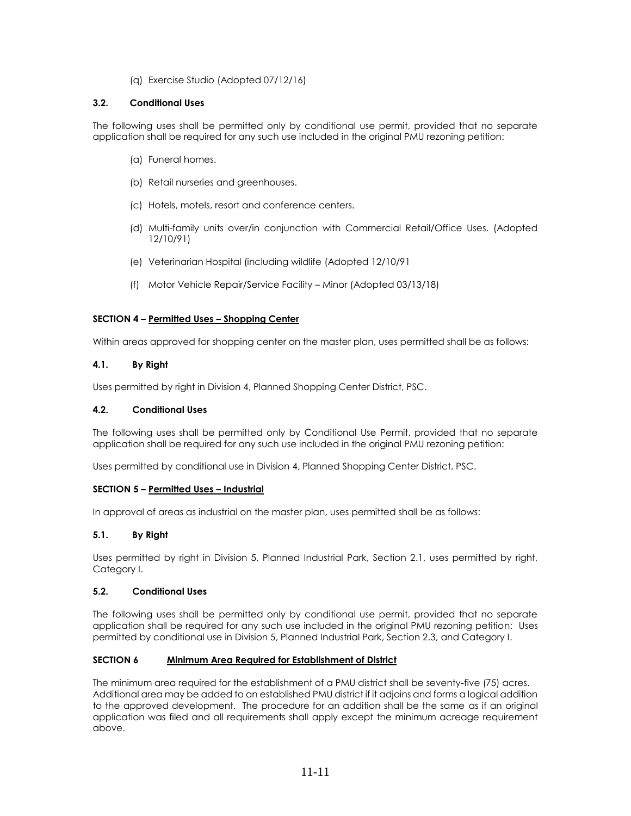(q) Exercise Studio (Adopted 07/12/16)

## **3.2. Conditional Uses**

The following uses shall be permitted only by conditional use permit, provided that no separate application shall be required for any such use included in the original PMU rezoning petition:

- (a) Funeral homes.
- (b) Retail nurseries and greenhouses.
- (c) Hotels, motels, resort and conference centers.
- (d) Multi-family units over/in conjunction with Commercial Retail/Office Uses. (Adopted 12/10/91)
- (e) Veterinarian Hospital (including wildlife (Adopted 12/10/91
- (f) Motor Vehicle Repair/Service Facility Minor (Adopted 03/13/18)

## **SECTION 4 – Permitted Uses – Shopping Center**

Within areas approved for shopping center on the master plan, uses permitted shall be as follows:

## **4.1. By Right**

Uses permitted by right in Division 4, Planned Shopping Center District, PSC.

## **4.2. Conditional Uses**

The following uses shall be permitted only by Conditional Use Permit, provided that no separate application shall be required for any such use included in the original PMU rezoning petition:

Uses permitted by conditional use in Division 4, Planned Shopping Center District, PSC.

## **SECTION 5 – Permitted Uses – Industrial**

In approval of areas as industrial on the master plan, uses permitted shall be as follows:

## **5.1. By Right**

Uses permitted by right in Division 5, Planned Industrial Park, Section 2.1, uses permitted by right, Category I.

## **5.2. Conditional Uses**

The following uses shall be permitted only by conditional use permit, provided that no separate application shall be required for any such use included in the original PMU rezoning petition: Uses permitted by conditional use in Division 5, Planned Industrial Park, Section 2.3, and Category I.

## **SECTION 6 Minimum Area Required for Establishment of District**

The minimum area required for the establishment of a PMU district shall be seventy-five (75) acres. Additional area may be added to an established PMU district if it adjoins and forms a logical addition to the approved development. The procedure for an addition shall be the same as if an original application was filed and all requirements shall apply except the minimum acreage requirement above.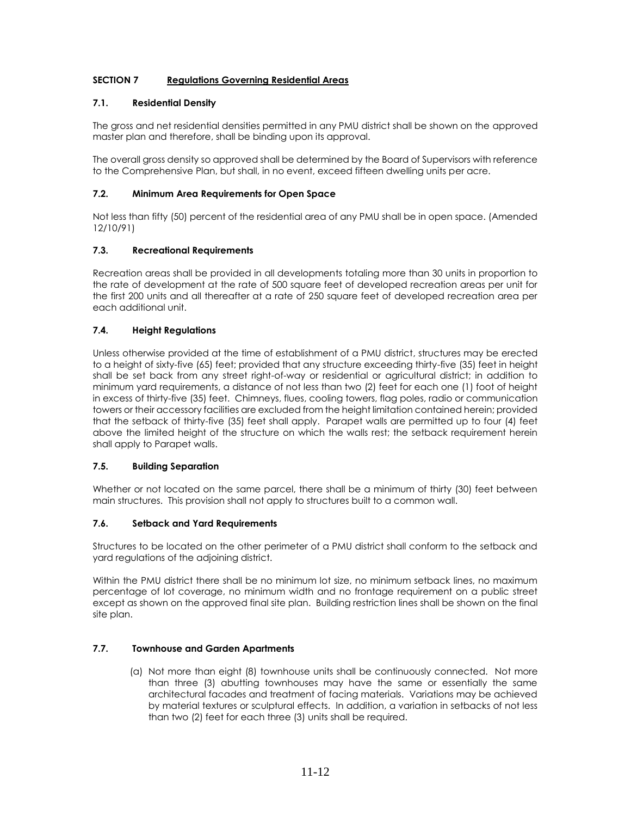## **SECTION 7 Regulations Governing Residential Areas**

## **7.1. Residential Density**

The gross and net residential densities permitted in any PMU district shall be shown on the approved master plan and therefore, shall be binding upon its approval.

The overall gross density so approved shall be determined by the Board of Supervisors with reference to the Comprehensive Plan, but shall, in no event, exceed fifteen dwelling units per acre.

## **7.2. Minimum Area Requirements for Open Space**

Not less than fifty (50) percent of the residential area of any PMU shall be in open space. (Amended 12/10/91)

## **7.3. Recreational Requirements**

Recreation areas shall be provided in all developments totaling more than 30 units in proportion to the rate of development at the rate of 500 square feet of developed recreation areas per unit for the first 200 units and all thereafter at a rate of 250 square feet of developed recreation area per each additional unit.

## **7.4. Height Regulations**

Unless otherwise provided at the time of establishment of a PMU district, structures may be erected to a height of sixty-five (65) feet; provided that any structure exceeding thirty-five (35) feet in height shall be set back from any street right-of-way or residential or agricultural district; in addition to minimum yard requirements, a distance of not less than two (2) feet for each one (1) foot of height in excess of thirty-five (35) feet. Chimneys, flues, cooling towers, flag poles, radio or communication towers or their accessory facilities are excluded from the height limitation contained herein; provided that the setback of thirty-five (35) feet shall apply. Parapet walls are permitted up to four (4) feet above the limited height of the structure on which the walls rest; the setback requirement herein shall apply to Parapet walls.

## **7.5. Building Separation**

Whether or not located on the same parcel, there shall be a minimum of thirty (30) feet between main structures. This provision shall not apply to structures built to a common wall.

## **7.6. Setback and Yard Requirements**

Structures to be located on the other perimeter of a PMU district shall conform to the setback and yard regulations of the adjoining district.

Within the PMU district there shall be no minimum lot size, no minimum setback lines, no maximum percentage of lot coverage, no minimum width and no frontage requirement on a public street except as shown on the approved final site plan. Building restriction lines shall be shown on the final site plan.

## **7.7. Townhouse and Garden Apartments**

(a) Not more than eight (8) townhouse units shall be continuously connected. Not more than three (3) abutting townhouses may have the same or essentially the same architectural facades and treatment of facing materials. Variations may be achieved by material textures or sculptural effects. In addition, a variation in setbacks of not less than two (2) feet for each three (3) units shall be required.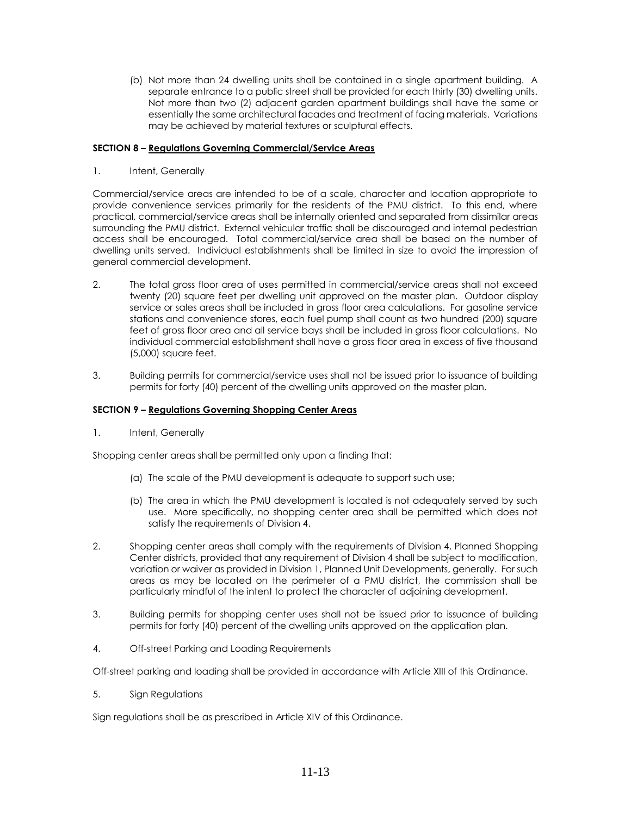(b) Not more than 24 dwelling units shall be contained in a single apartment building. A separate entrance to a public street shall be provided for each thirty (30) dwelling units. Not more than two (2) adjacent garden apartment buildings shall have the same or essentially the same architectural facades and treatment of facing materials. Variations may be achieved by material textures or sculptural effects.

### **SECTION 8 – Regulations Governing Commercial/Service Areas**

1. Intent, Generally

Commercial/service areas are intended to be of a scale, character and location appropriate to provide convenience services primarily for the residents of the PMU district. To this end, where practical, commercial/service areas shall be internally oriented and separated from dissimilar areas surrounding the PMU district. External vehicular traffic shall be discouraged and internal pedestrian access shall be encouraged. Total commercial/service area shall be based on the number of dwelling units served. Individual establishments shall be limited in size to avoid the impression of general commercial development.

- 2. The total gross floor area of uses permitted in commercial/service areas shall not exceed twenty (20) square feet per dwelling unit approved on the master plan. Outdoor display service or sales areas shall be included in gross floor area calculations. For gasoline service stations and convenience stores, each fuel pump shall count as two hundred (200) square feet of gross floor area and all service bays shall be included in gross floor calculations. No individual commercial establishment shall have a gross floor area in excess of five thousand (5,000) square feet.
- 3. Building permits for commercial/service uses shall not be issued prior to issuance of building permits for forty (40) percent of the dwelling units approved on the master plan.

#### **SECTION 9 – Regulations Governing Shopping Center Areas**

1. Intent, Generally

Shopping center areas shall be permitted only upon a finding that:

- (a) The scale of the PMU development is adequate to support such use;
- (b) The area in which the PMU development is located is not adequately served by such use. More specifically, no shopping center area shall be permitted which does not satisfy the requirements of Division 4.
- 2. Shopping center areas shall comply with the requirements of Division 4, Planned Shopping Center districts, provided that any requirement of Division 4 shall be subject to modification, variation or waiver as provided in Division 1, Planned Unit Developments, generally. For such areas as may be located on the perimeter of a PMU district, the commission shall be particularly mindful of the intent to protect the character of adjoining development.
- 3. Building permits for shopping center uses shall not be issued prior to issuance of building permits for forty (40) percent of the dwelling units approved on the application plan.
- 4. Off-street Parking and Loading Requirements

Off-street parking and loading shall be provided in accordance with Article XIII of this Ordinance.

5. Sign Regulations

Sign regulations shall be as prescribed in Article XIV of this Ordinance.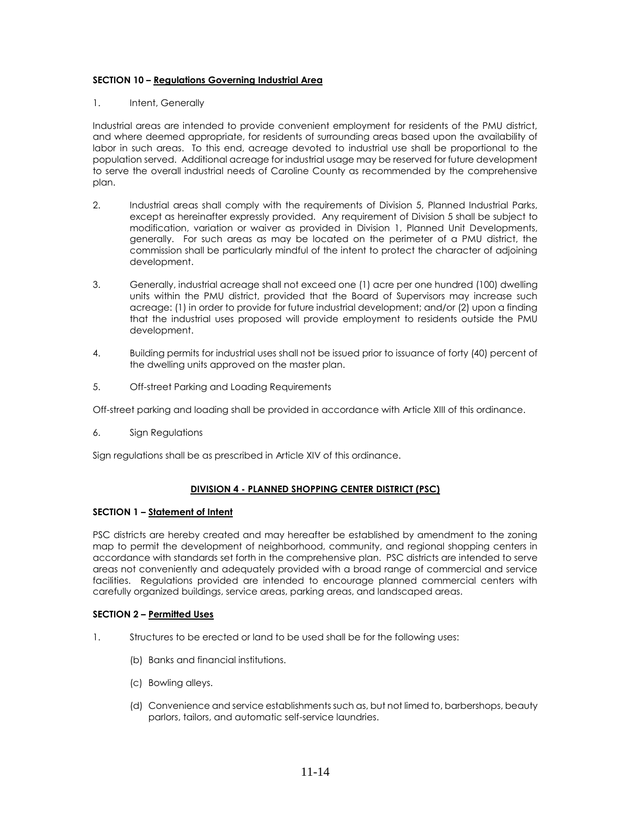## **SECTION 10 – Regulations Governing Industrial Area**

## 1. Intent, Generally

Industrial areas are intended to provide convenient employment for residents of the PMU district, and where deemed appropriate, for residents of surrounding areas based upon the availability of labor in such areas. To this end, acreage devoted to industrial use shall be proportional to the population served. Additional acreage for industrial usage may be reserved for future development to serve the overall industrial needs of Caroline County as recommended by the comprehensive plan.

- 2. Industrial areas shall comply with the requirements of Division 5, Planned Industrial Parks, except as hereinafter expressly provided. Any requirement of Division 5 shall be subject to modification, variation or waiver as provided in Division 1, Planned Unit Developments, generally. For such areas as may be located on the perimeter of a PMU district, the commission shall be particularly mindful of the intent to protect the character of adjoining development.
- 3. Generally, industrial acreage shall not exceed one (1) acre per one hundred (100) dwelling units within the PMU district, provided that the Board of Supervisors may increase such acreage: (1) in order to provide for future industrial development; and/or (2) upon a finding that the industrial uses proposed will provide employment to residents outside the PMU development.
- 4. Building permits for industrial uses shall not be issued prior to issuance of forty (40) percent of the dwelling units approved on the master plan.
- 5. Off-street Parking and Loading Requirements

Off-street parking and loading shall be provided in accordance with Article XIII of this ordinance.

6. Sign Regulations

Sign regulations shall be as prescribed in Article XIV of this ordinance.

## **DIVISION 4 - PLANNED SHOPPING CENTER DISTRICT (PSC)**

## **SECTION 1 – Statement of Intent**

PSC districts are hereby created and may hereafter be established by amendment to the zoning map to permit the development of neighborhood, community, and regional shopping centers in accordance with standards set forth in the comprehensive plan. PSC districts are intended to serve areas not conveniently and adequately provided with a broad range of commercial and service facilities. Regulations provided are intended to encourage planned commercial centers with carefully organized buildings, service areas, parking areas, and landscaped areas.

## **SECTION 2 – Permitted Uses**

- 1. Structures to be erected or land to be used shall be for the following uses:
	- (b) Banks and financial institutions.
	- (c) Bowling alleys.
	- (d) Convenience and service establishments such as, but not limed to, barbershops, beauty parlors, tailors, and automatic self-service laundries.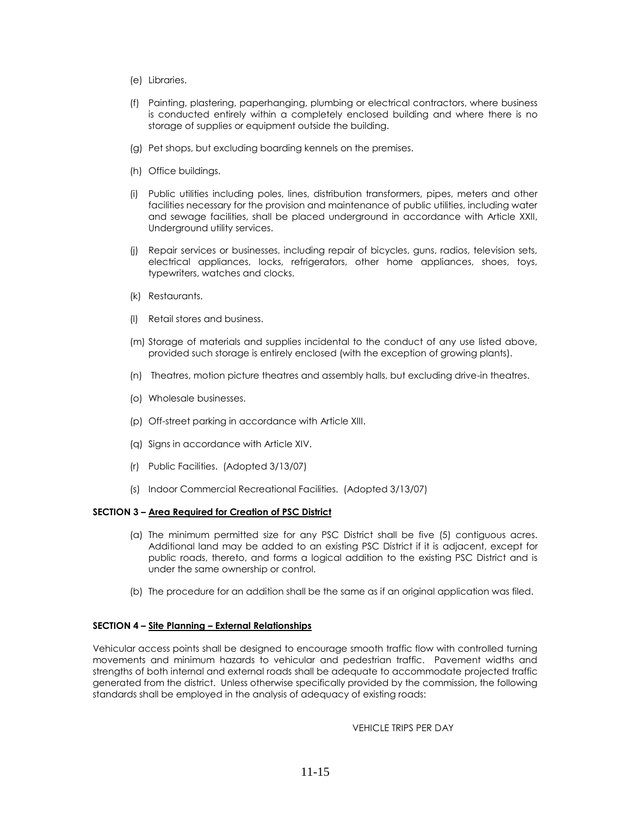- (e) Libraries.
- (f) Painting, plastering, paperhanging, plumbing or electrical contractors, where business is conducted entirely within a completely enclosed building and where there is no storage of supplies or equipment outside the building.
- (g) Pet shops, but excluding boarding kennels on the premises.
- (h) Office buildings.
- (i) Public utilities including poles, lines, distribution transformers, pipes, meters and other facilities necessary for the provision and maintenance of public utilities, including water and sewage facilities, shall be placed underground in accordance with Article XXII, Underground utility services.
- (j) Repair services or businesses, including repair of bicycles, guns, radios, television sets, electrical appliances, locks, refrigerators, other home appliances, shoes, toys, typewriters, watches and clocks.
- (k) Restaurants.
- (l) Retail stores and business.
- (m) Storage of materials and supplies incidental to the conduct of any use listed above, provided such storage is entirely enclosed (with the exception of growing plants).
- (n) Theatres, motion picture theatres and assembly halls, but excluding drive-in theatres.
- (o) Wholesale businesses.
- (p) Off-street parking in accordance with Article XIII.
- (q) Signs in accordance with Article XIV.
- (r) Public Facilities. (Adopted 3/13/07)
- (s) Indoor Commercial Recreational Facilities. (Adopted 3/13/07)

#### **SECTION 3 – Area Required for Creation of PSC District**

- (a) The minimum permitted size for any PSC District shall be five (5) contiguous acres. Additional land may be added to an existing PSC District if it is adjacent, except for public roads, thereto, and forms a logical addition to the existing PSC District and is under the same ownership or control.
- (b) The procedure for an addition shall be the same as if an original application was filed.

## **SECTION 4 – Site Planning – External Relationships**

Vehicular access points shall be designed to encourage smooth traffic flow with controlled turning movements and minimum hazards to vehicular and pedestrian traffic. Pavement widths and strengths of both internal and external roads shall be adequate to accommodate projected traffic generated from the district. Unless otherwise specifically provided by the commission, the following standards shall be employed in the analysis of adequacy of existing roads:

VEHICLE TRIPS PER DAY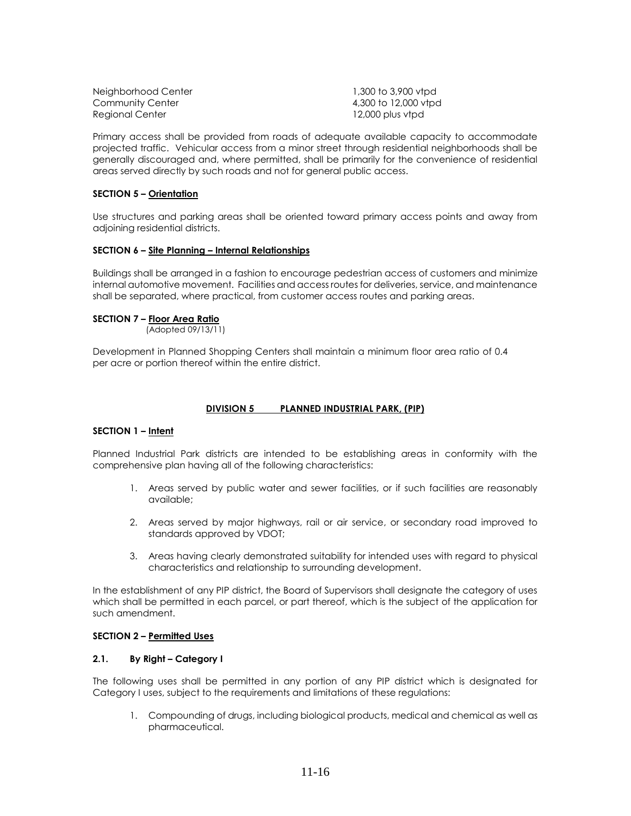| 1,300 to 3,900 vtpd  |
|----------------------|
| 4,300 to 12,000 vtpd |
| $12,000$ plus vtpd   |
|                      |

Primary access shall be provided from roads of adequate available capacity to accommodate projected traffic. Vehicular access from a minor street through residential neighborhoods shall be generally discouraged and, where permitted, shall be primarily for the convenience of residential areas served directly by such roads and not for general public access.

### **SECTION 5 – Orientation**

Use structures and parking areas shall be oriented toward primary access points and away from adjoining residential districts.

### **SECTION 6 – Site Planning – Internal Relationships**

Buildings shall be arranged in a fashion to encourage pedestrian access of customers and minimize internal automotive movement. Facilities and access routes for deliveries, service, and maintenance shall be separated, where practical, from customer access routes and parking areas.

### **SECTION 7 – Floor Area Ratio**

(Adopted 09/13/11)

Development in Planned Shopping Centers shall maintain a minimum floor area ratio of 0.4 per acre or portion thereof within the entire district.

## **DIVISION 5 PLANNED INDUSTRIAL PARK, (PIP)**

## **SECTION 1 – Intent**

Planned Industrial Park districts are intended to be establishing areas in conformity with the comprehensive plan having all of the following characteristics:

- 1. Areas served by public water and sewer facilities, or if such facilities are reasonably available;
- 2. Areas served by major highways, rail or air service, or secondary road improved to standards approved by VDOT;
- 3. Areas having clearly demonstrated suitability for intended uses with regard to physical characteristics and relationship to surrounding development.

In the establishment of any PIP district, the Board of Supervisors shall designate the category of uses which shall be permitted in each parcel, or part thereof, which is the subject of the application for such amendment.

#### **SECTION 2 – Permitted Uses**

### **2.1. By Right – Category I**

The following uses shall be permitted in any portion of any PIP district which is designated for Category I uses, subject to the requirements and limitations of these regulations:

1. Compounding of drugs, including biological products, medical and chemical as well as pharmaceutical.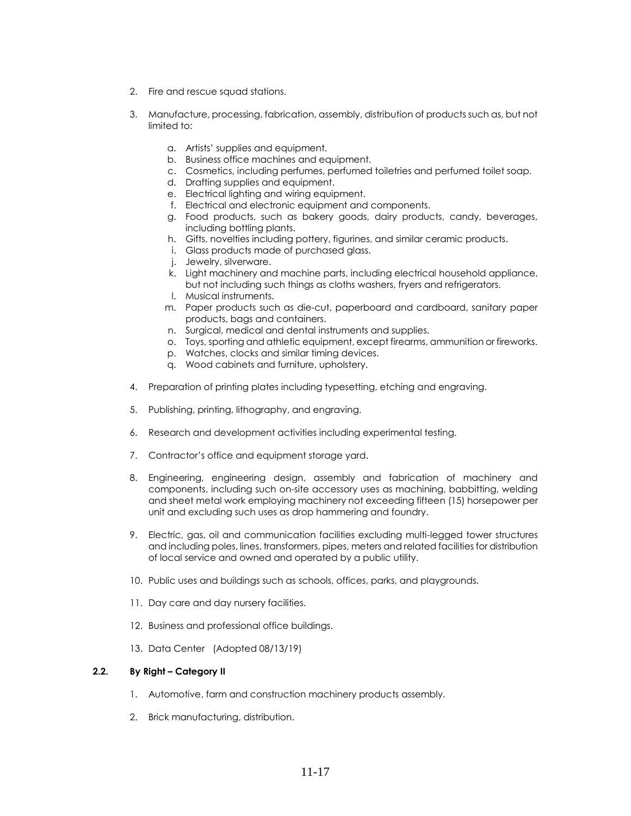- 2. Fire and rescue squad stations.
- 3. Manufacture, processing, fabrication, assembly, distribution of products such as, but not limited to:
	- a. Artists' supplies and equipment.
	- b. Business office machines and equipment.
	- c. Cosmetics, including perfumes, perfumed toiletries and perfumed toilet soap.
	- d. Drafting supplies and equipment.
	- e. Electrical lighting and wiring equipment.
	- f. Electrical and electronic equipment and components.
	- g. Food products, such as bakery goods, dairy products, candy, beverages, including bottling plants.
	- h. Gifts, novelties including pottery, figurines, and similar ceramic products.
	- i. Glass products made of purchased glass.
	- j. Jewelry, silverware.
	- k. Light machinery and machine parts, including electrical household appliance, but not including such things as cloths washers, fryers and refrigerators.
	- l. Musical instruments.
	- m. Paper products such as die-cut, paperboard and cardboard, sanitary paper products, bags and containers.
	- n. Surgical, medical and dental instruments and supplies.
	- o. Toys, sporting and athletic equipment, except firearms, ammunition or fireworks.
	- p. Watches, clocks and similar timing devices.
	- q. Wood cabinets and furniture, upholstery.
- 4. Preparation of printing plates including typesetting, etching and engraving.
- 5. Publishing, printing, lithography, and engraving.
- 6. Research and development activities including experimental testing.
- 7. Contractor's office and equipment storage yard.
- 8. Engineering, engineering design, assembly and fabrication of machinery and components, including such on-site accessory uses as machining, babbitting, welding and sheet metal work employing machinery not exceeding fifteen (15) horsepower per unit and excluding such uses as drop hammering and foundry.
- 9. Electric, gas, oil and communication facilities excluding multi-legged tower structures and including poles, lines, transformers, pipes, meters and related facilities for distribution of local service and owned and operated by a public utility.
- 10. Public uses and buildings such as schools, offices, parks, and playgrounds.
- 11. Day care and day nursery facilities.
- 12. Business and professional office buildings.
- 13. Data Center (Adopted 08/13/19)

## **2.2. By Right – Category II**

- 1. Automotive, farm and construction machinery products assembly.
- 2. Brick manufacturing, distribution.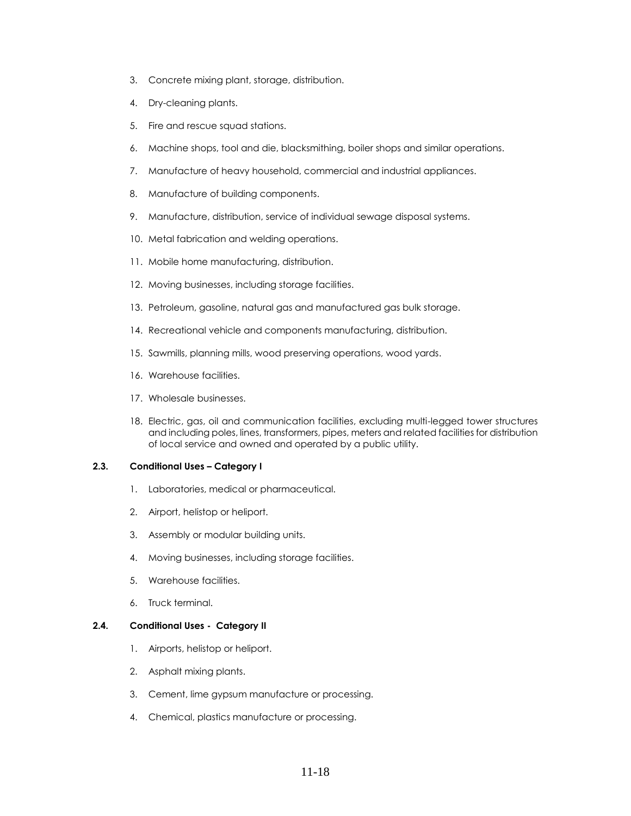- 3. Concrete mixing plant, storage, distribution.
- 4. Dry-cleaning plants.
- 5. Fire and rescue squad stations.
- 6. Machine shops, tool and die, blacksmithing, boiler shops and similar operations.
- 7. Manufacture of heavy household, commercial and industrial appliances.
- 8. Manufacture of building components.
- 9. Manufacture, distribution, service of individual sewage disposal systems.
- 10. Metal fabrication and welding operations.
- 11. Mobile home manufacturing, distribution.
- 12. Moving businesses, including storage facilities.
- 13. Petroleum, gasoline, natural gas and manufactured gas bulk storage.
- 14. Recreational vehicle and components manufacturing, distribution.
- 15. Sawmills, planning mills, wood preserving operations, wood yards.
- 16. Warehouse facilities.
- 17. Wholesale businesses.
- 18. Electric, gas, oil and communication facilities, excluding multi-legged tower structures and including poles, lines, transformers, pipes, meters and related facilities for distribution of local service and owned and operated by a public utility.

### **2.3. Conditional Uses – Category I**

- 1. Laboratories, medical or pharmaceutical.
- 2. Airport, helistop or heliport.
- 3. Assembly or modular building units.
- 4. Moving businesses, including storage facilities.
- 5. Warehouse facilities.
- 6. Truck terminal.

## **2.4. Conditional Uses - Category II**

- 1. Airports, helistop or heliport.
- 2. Asphalt mixing plants.
- 3. Cement, lime gypsum manufacture or processing.
- 4. Chemical, plastics manufacture or processing.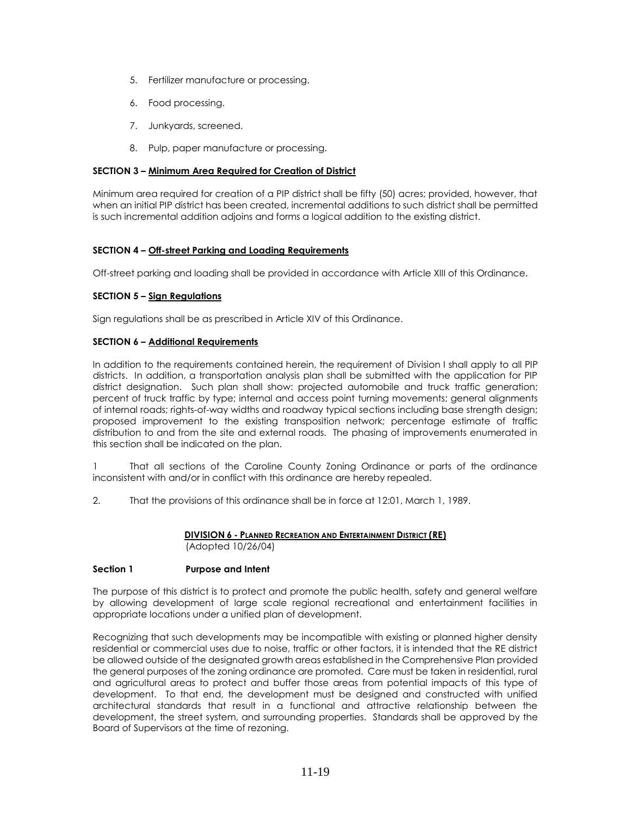- 5. Fertilizer manufacture or processing.
- 6. Food processing.
- 7. Junkyards, screened.
- 8. Pulp, paper manufacture or processing.

### **SECTION 3 – Minimum Area Required for Creation of District**

Minimum area required for creation of a PIP district shall be fifty (50) acres; provided, however, that when an initial PIP district has been created, incremental additions to such district shall be permitted is such incremental addition adjoins and forms a logical addition to the existing district.

## **SECTION 4 – Off-street Parking and Loading Requirements**

Off-street parking and loading shall be provided in accordance with Article XIII of this Ordinance.

## **SECTION 5 – Sign Regulations**

Sign regulations shall be as prescribed in Article XIV of this Ordinance.

## **SECTION 6 – Additional Requirements**

In addition to the requirements contained herein, the requirement of Division I shall apply to all PIP districts. In addition, a transportation analysis plan shall be submitted with the application for PIP district designation. Such plan shall show: projected automobile and truck traffic generation; percent of truck traffic by type; internal and access point turning movements; general alignments of internal roads; rights-of-way widths and roadway typical sections including base strength design; proposed improvement to the existing transposition network; percentage estimate of traffic distribution to and from the site and external roads. The phasing of improvements enumerated in this section shall be indicated on the plan.

1 That all sections of the Caroline County Zoning Ordinance or parts of the ordinance inconsistent with and/or in conflict with this ordinance are hereby repealed.

2. That the provisions of this ordinance shall be in force at 12:01, March 1, 1989.

### **DIVISION 6 - PLANNED RECREATION AND ENTERTAINMENT DISTRICT (RE)** (Adopted 10/26/04)

## **Section 1 Purpose and Intent**

The purpose of this district is to protect and promote the public health, safety and general welfare by allowing development of large scale regional recreational and entertainment facilities in appropriate locations under a unified plan of development.

Recognizing that such developments may be incompatible with existing or planned higher density residential or commercial uses due to noise, traffic or other factors, it is intended that the RE district be allowed outside of the designated growth areas established in the Comprehensive Plan provided the general purposes of the zoning ordinance are promoted. Care must be taken in residential, rural and agricultural areas to protect and buffer those areas from potential impacts of this type of development. To that end, the development must be designed and constructed with unified architectural standards that result in a functional and attractive relationship between the development, the street system, and surrounding properties. Standards shall be approved by the Board of Supervisors at the time of rezoning.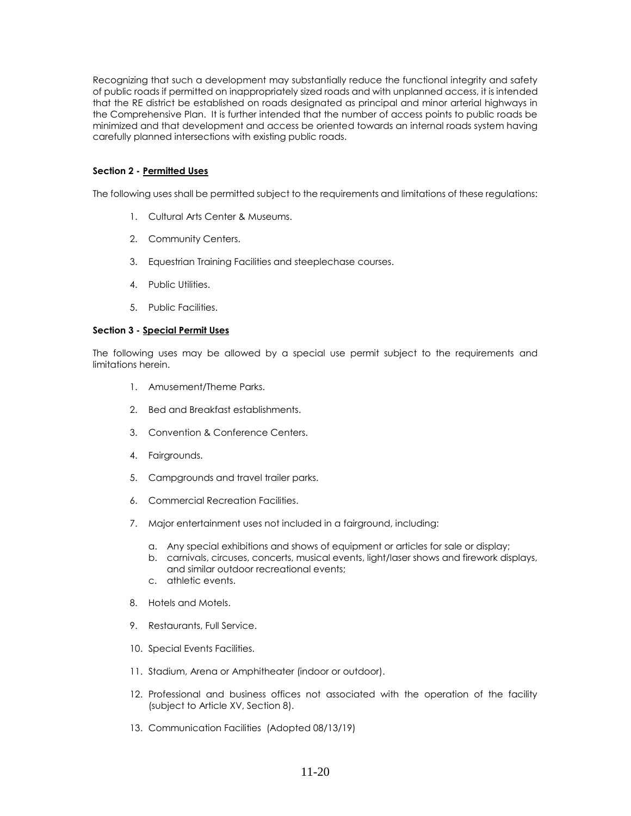Recognizing that such a development may substantially reduce the functional integrity and safety of public roads if permitted on inappropriately sized roads and with unplanned access, it is intended that the RE district be established on roads designated as principal and minor arterial highways in the Comprehensive Plan. It is further intended that the number of access points to public roads be minimized and that development and access be oriented towards an internal roads system having carefully planned intersections with existing public roads.

### **Section 2 - Permitted Uses**

The following uses shall be permitted subject to the requirements and limitations of these regulations:

- 1. Cultural Arts Center & Museums.
- 2. Community Centers.
- 3. Equestrian Training Facilities and steeplechase courses.
- 4. Public Utilities.
- 5. Public Facilities.

### **Section 3 - Special Permit Uses**

The following uses may be allowed by a special use permit subject to the requirements and limitations herein.

- 1. Amusement/Theme Parks.
- 2. Bed and Breakfast establishments.
- 3. Convention & Conference Centers.
- 4. Fairgrounds.
- 5. Campgrounds and travel trailer parks.
- 6. Commercial Recreation Facilities.
- 7. Major entertainment uses not included in a fairground, including:
	- a. Any special exhibitions and shows of equipment or articles for sale or display;
	- b. carnivals, circuses, concerts, musical events, light/laser shows and firework displays, and similar outdoor recreational events;
	- c. athletic events.
- 8. Hotels and Motels.
- 9. Restaurants, Full Service.
- 10. Special Events Facilities.
- 11. Stadium, Arena or Amphitheater (indoor or outdoor).
- 12. Professional and business offices not associated with the operation of the facility (subject to Article XV, Section 8).
- 13. Communication Facilities (Adopted 08/13/19)